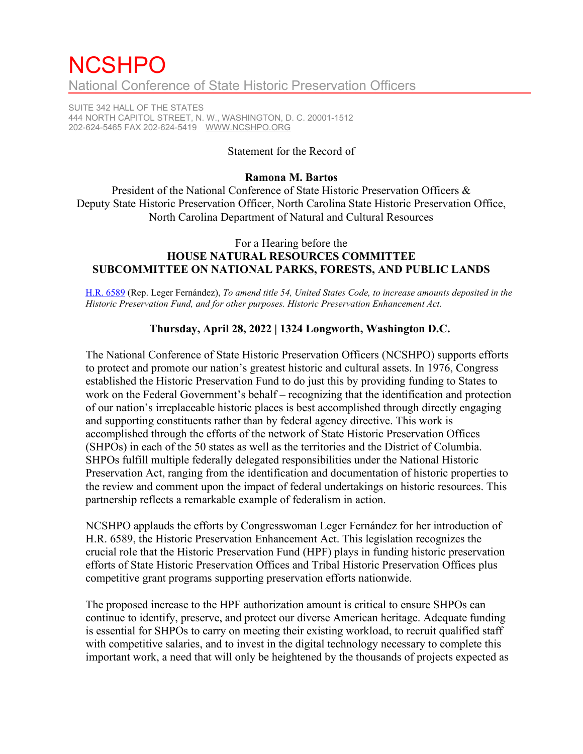# **NCSHPO** National Conference of State Historic Preservation Officers

SUITE 342 HALL OF THE STATES 444 NORTH CAPITOL STREET, N. W., WASHINGTON, D. C. 20001-1512 202-624-5465 FAX 202-624-5419 [WWW.NCSHPO.ORG](http://www.ncshpo.org/)

#### Statement for the Record of

#### **Ramona M. Bartos**

President of the National Conference of State Historic Preservation Officers & Deputy State Historic Preservation Officer, North Carolina State Historic Preservation Office, North Carolina Department of Natural and Cultural Resources

## For a Hearing before the **HOUSE NATURAL RESOURCES COMMITTEE SUBCOMMITTEE ON NATIONAL PARKS, FORESTS, AND PUBLIC LANDS**

[H.R. 6589](https://www.congress.gov/bill/117th-congress/house-bill/6589/text) (Rep. Leger Fernández), *To amend title 54, United States Code, to increase amounts deposited in the Historic Preservation Fund, and for other purposes. Historic Preservation Enhancement Act.*

### **Thursday, April 28, 2022 | 1324 Longworth, Washington D.C.**

The National Conference of State Historic Preservation Officers (NCSHPO) supports efforts to protect and promote our nation's greatest historic and cultural assets. In 1976, Congress established the Historic Preservation Fund to do just this by providing funding to States to work on the Federal Government's behalf – recognizing that the identification and protection of our nation's irreplaceable historic places is best accomplished through directly engaging and supporting constituents rather than by federal agency directive. This work is accomplished through the efforts of the network of State Historic Preservation Offices (SHPOs) in each of the 50 states as well as the territories and the District of Columbia. SHPOs fulfill multiple federally delegated responsibilities under the National Historic Preservation Act, ranging from the identification and documentation of historic properties to the review and comment upon the impact of federal undertakings on historic resources. This partnership reflects a remarkable example of federalism in action.

NCSHPO applauds the efforts by Congresswoman Leger Fernández for her introduction of H.R. 6589, the Historic Preservation Enhancement Act. This legislation recognizes the crucial role that the Historic Preservation Fund (HPF) plays in funding historic preservation efforts of State Historic Preservation Offices and Tribal Historic Preservation Offices plus competitive grant programs supporting preservation efforts nationwide.

The proposed increase to the HPF authorization amount is critical to ensure SHPOs can continue to identify, preserve, and protect our diverse American heritage. Adequate funding is essential for SHPOs to carry on meeting their existing workload, to recruit qualified staff with competitive salaries, and to invest in the digital technology necessary to complete this important work, a need that will only be heightened by the thousands of projects expected as